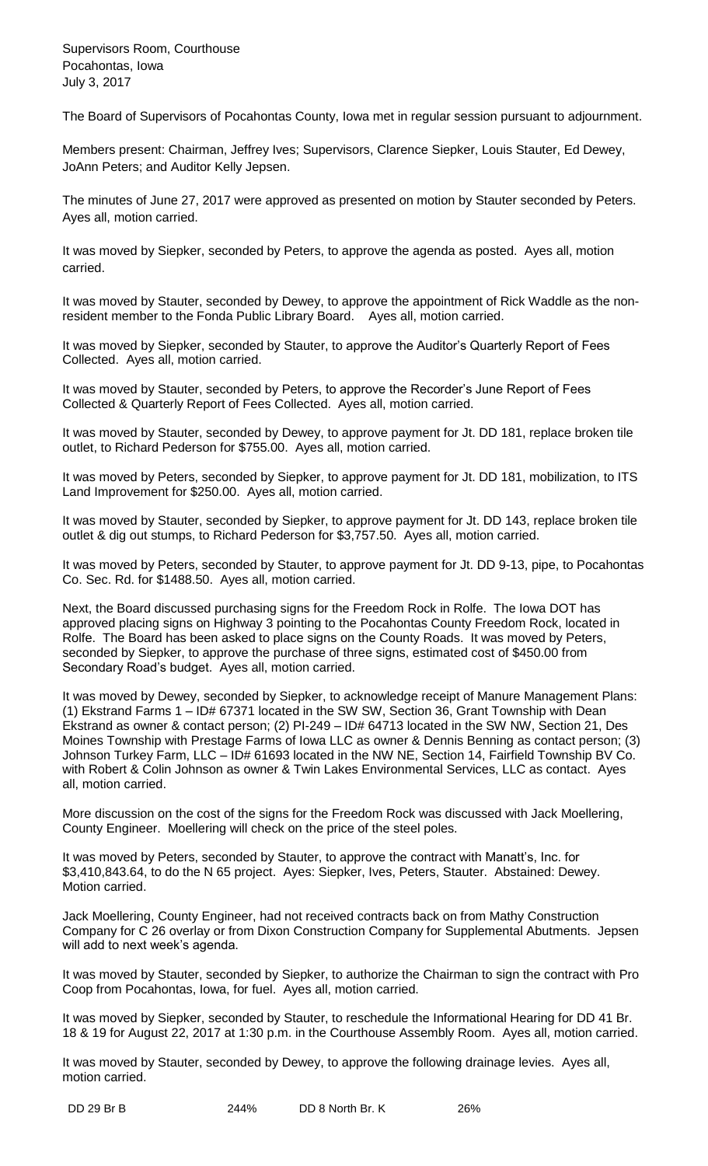Supervisors Room, Courthouse Pocahontas, Iowa July 3, 2017

The Board of Supervisors of Pocahontas County, Iowa met in regular session pursuant to adjournment.

Members present: Chairman, Jeffrey Ives; Supervisors, Clarence Siepker, Louis Stauter, Ed Dewey, JoAnn Peters; and Auditor Kelly Jepsen.

The minutes of June 27, 2017 were approved as presented on motion by Stauter seconded by Peters. Ayes all, motion carried.

It was moved by Siepker, seconded by Peters, to approve the agenda as posted. Ayes all, motion carried.

It was moved by Stauter, seconded by Dewey, to approve the appointment of Rick Waddle as the nonresident member to the Fonda Public Library Board. Ayes all, motion carried.

It was moved by Siepker, seconded by Stauter, to approve the Auditor's Quarterly Report of Fees Collected. Ayes all, motion carried.

It was moved by Stauter, seconded by Peters, to approve the Recorder's June Report of Fees Collected & Quarterly Report of Fees Collected. Ayes all, motion carried.

It was moved by Stauter, seconded by Dewey, to approve payment for Jt. DD 181, replace broken tile outlet, to Richard Pederson for \$755.00. Ayes all, motion carried.

It was moved by Peters, seconded by Siepker, to approve payment for Jt. DD 181, mobilization, to ITS Land Improvement for \$250.00. Ayes all, motion carried.

It was moved by Stauter, seconded by Siepker, to approve payment for Jt. DD 143, replace broken tile outlet & dig out stumps, to Richard Pederson for \$3,757.50. Ayes all, motion carried.

It was moved by Peters, seconded by Stauter, to approve payment for Jt. DD 9-13, pipe, to Pocahontas Co. Sec. Rd. for \$1488.50. Ayes all, motion carried.

Next, the Board discussed purchasing signs for the Freedom Rock in Rolfe. The Iowa DOT has approved placing signs on Highway 3 pointing to the Pocahontas County Freedom Rock, located in Rolfe. The Board has been asked to place signs on the County Roads. It was moved by Peters, seconded by Siepker, to approve the purchase of three signs, estimated cost of \$450.00 from Secondary Road's budget. Ayes all, motion carried.

It was moved by Dewey, seconded by Siepker, to acknowledge receipt of Manure Management Plans: (1) Ekstrand Farms 1 – ID# 67371 located in the SW SW, Section 36, Grant Township with Dean Ekstrand as owner & contact person; (2) PI-249 – ID# 64713 located in the SW NW, Section 21, Des Moines Township with Prestage Farms of Iowa LLC as owner & Dennis Benning as contact person; (3) Johnson Turkey Farm, LLC - ID# 61693 located in the NW NE, Section 14, Fairfield Township BV Co. with Robert & Colin Johnson as owner & Twin Lakes Environmental Services, LLC as contact. Ayes all, motion carried.

More discussion on the cost of the signs for the Freedom Rock was discussed with Jack Moellering, County Engineer. Moellering will check on the price of the steel poles.

It was moved by Peters, seconded by Stauter, to approve the contract with Manatt's, Inc. for \$3,410,843.64, to do the N 65 project. Ayes: Siepker, Ives, Peters, Stauter. Abstained: Dewey. Motion carried.

Jack Moellering, County Engineer, had not received contracts back on from Mathy Construction Company for C 26 overlay or from Dixon Construction Company for Supplemental Abutments. Jepsen will add to next week's agenda.

It was moved by Stauter, seconded by Siepker, to authorize the Chairman to sign the contract with Pro Coop from Pocahontas, Iowa, for fuel. Ayes all, motion carried.

It was moved by Siepker, seconded by Stauter, to reschedule the Informational Hearing for DD 41 Br. 18 & 19 for August 22, 2017 at 1:30 p.m. in the Courthouse Assembly Room. Ayes all, motion carried.

It was moved by Stauter, seconded by Dewey, to approve the following drainage levies. Ayes all, motion carried.